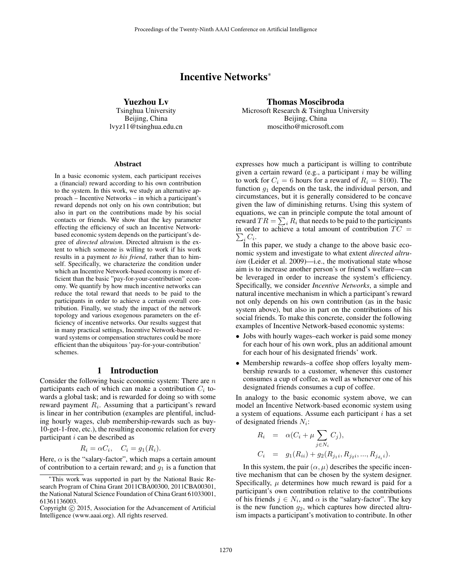# Incentive Networks<sup>∗</sup>

Yuezhou Lv

Tsinghua University Beijing, China lvyz11@tsinghua.edu.cn

#### Abstract

In a basic economic system, each participant receives a (financial) reward according to his own contribution to the system. In this work, we study an alternative approach – Incentive Networks – in which a participant's reward depends not only on his own contribution; but also in part on the contributions made by his social contacts or friends. We show that the key parameter effecting the efficiency of such an Incentive Networkbased economic system depends on the participant's degree of *directed altruism*. Directed altruism is the extent to which someone is willing to work if his work results in a payment *to his friend*, rather than to himself. Specifically, we characterize the condition under which an Incentive Network-based economy is more efficient than the basic "pay-for-your-contribution" economy. We quantify by how much incentive networks can reduce the total reward that needs to be paid to the participants in order to achieve a certain overall contribution. Finally, we study the impact of the network topology and various exogenous parameters on the efficiency of incentive networks. Our results suggest that in many practical settings, Incentive Network-based reward systems or compensation structures could be more efficient than the ubiquitous 'pay-for-your-contribution' schemes.

## 1 Introduction

Consider the following basic economic system: There are  $n$ participants each of which can make a contribution  $C_i$  towards a global task; and is rewarded for doing so with some reward payment  $R_i$ . Assuming that a participant's reward is linear in her contribution (examples are plentiful, including hourly wages, club membership-rewards such as buy-10-get-1-free, etc.), the resulting economic relation for every participant  $i$  can be described as

 $R_i = \alpha C_i$ ,  $C_i = g_1(R_i)$ .

Thomas Moscibroda Microsoft Research & Tsinghua University Beijing, China

moscitho@microsoft.com

expresses how much a participant is willing to contribute given a certain reward (e.g., a participant  $i$  may be willing to work for  $C_i = 6$  hours for a reward of  $R_i = $100$ ). The function  $g_1$  depends on the task, the individual person, and circumstances, but it is generally considered to be concave given the law of diminishing returns. Using this system of equations, we can in principle compute the total amount of reward  $TR = \sum_i R_i$  that needs to be paid to the participants in order to achieve a total amount of contribution  $TC =$ 

 $\sum_i C_i.$ In this paper, we study a change to the above basic economic system and investigate to what extent *directed altruism* (Leider et al. 2009)—i.e., the motivational state whose aim is to increase another person's or friend's welfare—can be leveraged in order to increase the system's efficiency. Specifically, we consider *Incentive Networks*, a simple and natural incentive mechanism in which a participant's reward not only depends on his own contribution (as in the basic system above), but also in part on the contributions of his social friends. To make this concrete, consider the following examples of Incentive Network-based economic systems:

- Jobs with hourly wages–each worker is paid some money for each hour of his own work, plus an additional amount for each hour of his designated friends' work.
- Membership rewards–a coffee shop offers loyalty membership rewards to a customer, whenever this customer consumes a cup of coffee, as well as whenever one of his designated friends consumes a cup of coffee.

In analogy to the basic economic system above, we can model an Incentive Network-based economic system using a system of equations. Assume each participant  $i$  has a set of designated friends  $N_i$ :

$$
R_i = \alpha (C_i + \mu \sum_{j \in N_i} C_j),
$$
  
\n
$$
C_i = g_1(R_{ii}) + g_2(R_{j_1i}, R_{j_2i}, ..., R_{j_{d_i}i}).
$$

In this system, the pair  $(\alpha, \mu)$  describes the specific incentive mechanism that can be chosen by the system designer. Specifically,  $\mu$  determines how much reward is paid for a participant's own contribution relative to the contributions of his friends  $j \in N_i$ , and  $\alpha$  is the "salary-factor". The key is the new function  $g_2$ , which captures how directed altruism impacts a participant's motivation to contribute. In other

Here,  $\alpha$  is the "salary-factor", which maps a certain amount of contribution to a certain reward; and  $q_1$  is a function that

<sup>∗</sup>This work was supported in part by the National Basic Research Program of China Grant 2011CBA00300, 2011CBA00301, the National Natural Science Foundation of China Grant 61033001, 61361136003.

Copyright © 2015, Association for the Advancement of Artificial Intelligence (www.aaai.org). All rights reserved.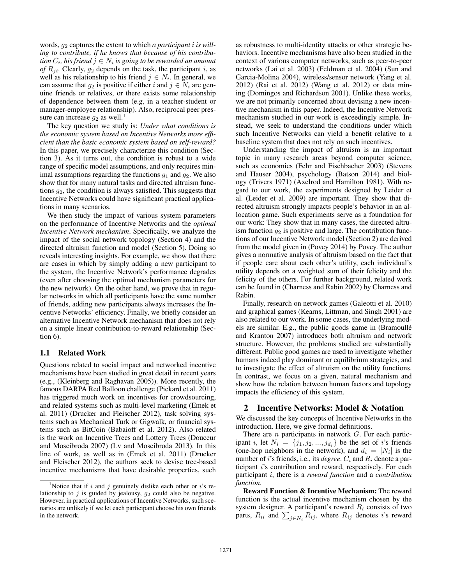words, g<sup>2</sup> captures the extent to which *a participant* i *is willing to contribute, if he knows that because of his contribu-* $\mathit{tion} \ C_i$ , his friend  $j \in N_i$  is going to be rewarded an amount *of*  $R_{ji}$ . Clearly,  $g_2$  depends on the task, the participant i, as well as his relationship to his friend  $j \in N_i$ . In general, we can assume that  $g_2$  is positive if either i and  $j \in N_i$  are genuine friends or relatives, or there exists some relationship of dependence between them (e.g, in a teacher-student or manager-employee relationship). Also, reciprocal peer pressure can increase  $g_2$  as well.<sup>1</sup>

The key question we study is: *Under what conditions is the economic system based on Incentive Networks more efficient than the basic economic system based on self-reward?* In this paper, we precisely characterize this condition (Section 3). As it turns out, the condition is robust to a wide range of specific model assumptions, and only requires minimal assumptions regarding the functions  $g_1$  and  $g_2$ . We also show that for many natural tasks and directed altruism functions  $g_2$ , the condition is always satisfied. This suggests that Incentive Networks could have significant practical applications in many scenarios.

We then study the impact of various system parameters on the performance of Incentive Networks and the *optimal Incentive Network mechanism*. Specifically, we analyze the impact of the social network topology (Section 4) and the directed altruism function and model (Section 5). Doing so reveals interesting insights. For example, we show that there are cases in which by simply adding a new participant to the system, the Incentive Network's performance degrades (even after choosing the optimal mechanism parameters for the new network). On the other hand, we prove that in regular networks in which all participants have the same number of friends, adding new participants always increases the Incentive Networks' efficiency. Finally, we briefly consider an alternative Incentive Network mechanism that does not rely on a simple linear contribution-to-reward relationship (Section 6).

## 1.1 Related Work

Questions related to social impact and networked incentive mechanisms have been studied in great detail in recent years (e.g., (Kleinberg and Raghavan 2005)). More recently, the famous DARPA Red Balloon challenge (Pickard et al. 2011) has triggered much work on incentives for crowdsourcing, and related systems such as multi-level marketing (Emek et al. 2011) (Drucker and Fleischer 2012), task solving systems such as Mechanical Turk or Gigwalk, or financial systems such as BitCoin (Babaioff et al. 2012). Also related is the work on Incentive Trees and Lottery Trees (Douceur and Moscibroda 2007) (Lv and Moscibroda 2013). In this line of work, as well as in (Emek et al. 2011) (Drucker and Fleischer 2012), the authors seek to devise tree-based incentive mechanisms that have desirable properties, such as robustness to multi-identity attacks or other strategic behaviors. Incentive mechanisms have also been studied in the context of various computer networks, such as peer-to-peer networks (Lai et al. 2003) (Feldman et al. 2004) (Sun and Garcia-Molina 2004), wireless/sensor network (Yang et al. 2012) (Rai et al. 2012) (Wang et al. 2012) or data mining (Domingos and Richardson 2001). Unlike these works, we are not primarily concerned about devising a new incentive mechanism in this paper. Indeed, the Incentive Network mechanism studied in our work is exceedingly simple. Instead, we seek to understand the conditions under which such Incentive Networks can yield a benefit relative to a baseline system that does not rely on such incentives.

Understanding the impact of altruism is an important topic in many research areas beyond computer science, such as economics (Fehr and Fischbacher 2003) (Stevens and Hauser 2004), psychology (Batson 2014) and biology (Trivers 1971) (Axelrod and Hamilton 1981). With regard to our work, the experiments designed by Leider et al. (Leider et al. 2009) are important. They show that directed altruism strongly impacts people's behavior in an allocation game. Such experiments serve as a foundation for our work: They show that in many cases, the directed altruism function  $q_2$  is positive and large. The contribution functions of our Incentive Network model (Section 2) are derived from the model given in (Povey 2014) by Povey. The author gives a normative analysis of altruism based on the fact that if people care about each other's utility, each individual's utility depends on a weighted sum of their felicity and the felicity of the others. For further background, related work can be found in (Charness and Rabin 2002) by Charness and Rabin.

Finally, research on network games (Galeotti et al. 2010) and graphical games (Kearns, Littman, and Singh 2001) are also related to our work. In some cases, the underlying models are similar. E.g., the public goods game in (Bramoulle´ and Kranton 2007) introduces both altruism and network structure. However, the problems studied are substantially different. Public good games are used to investigate whether humans indeed play dominant or equilibrium strategies, and to investigate the effect of altruism on the utility functions. In contrast, we focus on a given, natural mechanism and show how the relation between human factors and topology impacts the efficiency of this system.

# 2 Incentive Networks: Model & Notation

We discussed the key concepts of Incentive Networks in the introduction. Here, we give formal definitions.

There are  $n$  participants in network  $G$ . For each participant i, let  $N_i = \{j_1, j_2, ..., j_{d_i}\}\$ be the set of i's friends (one-hop neighbors in the network), and  $d_i = |N_i|$  is the number of i's friends, i.e., its *degree*.  $C_i$  and  $R_i$  denote a participant i's contribution and reward, respectively. For each participant i, there is a *reward function* and a *contribution function*.

Reward Function & Incentive Mechanism: The reward function is the actual incentive mechanism chosen by the system designer. A participant's reward  $R_i$  consists of two parts,  $R_{ii}$  and  $\sum_{j \in N_i} R_{ij}$ , where  $R_{ij}$  denotes *i*'s reward

<sup>&</sup>lt;sup>1</sup>Notice that if i and j genuinely dislike each other or i's relationship to  $j$  is guided by jealousy,  $g_2$  could also be negative. However, in practical applications of Incentive Networks, such scenarios are unlikely if we let each participant choose his own friends in the network.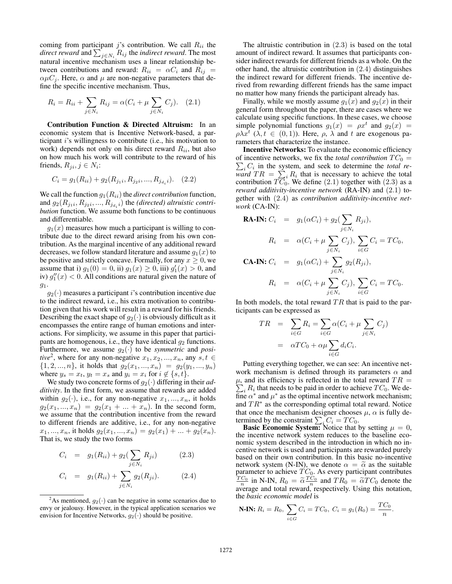coming from participant j's contribution. We call  $R_{ii}$  the *direct reward* and  $\sum_{j \in N_i} R_{ij}$  the *indirect reward*. The most natural incentive mechanism uses a linear relationship between contributions and reward:  $R_{ii} = \alpha C_i$  and  $R_{ij}$  $\alpha \mu C_i$ . Here,  $\alpha$  and  $\mu$  are non-negative parameters that define the specific incentive mechanism. Thus,

$$
R_i = R_{ii} + \sum_{j \in N_i} R_{ij} = \alpha (C_i + \mu \sum_{j \in N_i} C_j).
$$
 (2.1)

Contribution Function & Directed Altruism: In an economic system that is Incentive Network-based, a participant i's willingness to contribute (i.e., his motivation to work) depends not only on his direct reward  $R_{ii}$ , but also on how much his work will contribute to the reward of his friends,  $R_{ji}, j \in N_i$ :

$$
C_i = g_1(R_{ii}) + g_2(R_{j_1i}, R_{j_2i}, ..., R_{j_{d_i}i}).
$$
 (2.2)

We call the function  $g_1(R_{ii})$  the *direct contribution* function, and  $g_2(R_{j_1i}, R_{j_2i},..., R_{j_{d_i}i})$  the *(directed) altruistic contribution* function. We assume both functions to be continuous and differentiable.

 $g_1(x)$  measures how much a participant is willing to contribute due to the direct reward arising from his own contribution. As the marginal incentive of any additional reward decreases, we follow standard literature and assume  $g_1(x)$  to be positive and strictly concave. Formally, for any  $x \geq 0$ , we assume that i)  $g_1(0) = 0$ , ii)  $g_1(x) \ge 0$ , iii)  $g'_1(x) > 0$ , and iv)  $g''_1(x) < 0$ . All conditions are natural given the nature of g1.

 $g_2(\cdot)$  measures a participant i's contribution incentive due to the indirect reward, i.e., his extra motivation to contribution given that his work will result in a reward for his friends. Describing the exact shape of  $g_2(\cdot)$  is obviously difficult as it encompasses the entire range of human emotions and interactions. For simplicity, we assume in this paper that participants are homogenous, i.e., they have identical  $g_2$  functions. Furthermore, we assume  $g_2(\cdot)$  to be *symmetric* and *positive*<sup>2</sup>, where for any non-negative  $x_1, x_2, ..., x_n$ , any  $s, t \in$  $\{1, 2, ..., n\}$ , it holds that  $g_2(x_1, ..., x_n) = g_2(y_1, ..., y_n)$ where  $y_s = x_t$ ,  $y_t = x_s$  and  $y_i = x_i$  for  $i \notin \{s, t\}$ .

We study two concrete forms of  $g_2(\cdot)$  differing in their *additivity*. In the first form, we assume that rewards are added within  $g_2(\cdot)$ , i.e., for any non-negative  $x_1, ..., x_n$ , it holds  $g_2(x_1, ..., x_n) = g_2(x_1 + ... + x_n)$ . In the second form, we assume that the contribution incentive from the reward to different friends are additive, i.e., for any non-negative  $x_1, ..., x_n$ , it holds  $g_2(x_1, ..., x_n) = g_2(x_1) + ... + g_2(x_n)$ . That is, we study the two forms

$$
C_i = g_1(R_{ii}) + g_2(\sum_{j \in N_i} R_{ji})
$$
 (2.3)  

$$
C_i = g_1(R_{ii}) + \sum_{j \in N_i} g_2(R_{ji}).
$$
 (2.4)

The altruistic contribution in (2.3) is based on the total amount of indirect reward. It assumes that participants consider indirect rewards for different friends as a whole. On the other hand, the altruistic contribution in (2.4) distinguishes the indirect reward for different friends. The incentive derived from rewarding different friends has the same impact no matter how many friends the participant already has.

Finally, while we mostly assume  $g_1(x)$  and  $g_2(x)$  in their general form throughout the paper, there are cases where we calculate using specific functions. In these cases, we choose simple polynomial functions  $g_1(x) = \rho x^t$  and  $g_2(x) =$  $\rho \lambda x^t$  ( $\lambda, t \in (0, 1)$ ). Here,  $\rho, \lambda$  and t are exogenous parameters that characterize the instance.

Incentive Networks: To evaluate the economic efficiency of incentive networks, we fix the *total contribution*  $TC_0 =$  $\sum_i C_i$  in the system, and seek to determine the *total reward*  $TR = \sum_{i} R_i$  that is necessary to achieve the total contribution  $TC_0$ . We define  $(2.1)$  together with  $(2.3)$  as a *reward additivity-incentive network* (RA-IN) and (2.1) together with (2.4) as *contribution additivity-incentive network* (CA-IN):

$$
\begin{array}{rcl}\n\mathbf{RA}\text{-IN: } C_i & = & g_1(\alpha C_i) + g_2(\sum_{j \in N_i} R_{ji}), \\
R_i & = & \alpha(C_i + \mu \sum_{j \in N_i} C_j), \sum_{i \in G} C_i = TC_0, \\
\mathbf{CA}\text{-IN: } C_i & = & g_1(\alpha C_i) + \sum_{j \in N_i} g_2(R_{ji}), \\
R_i & = & \alpha(C_i + \mu \sum_{j \in N_i} C_j), \sum_{i \in G} C_i = TC_0.\n\end{array}
$$

In both models, the total reward  $TR$  that is paid to the participants can be expressed as

$$
TR = \sum_{i \in G} R_i = \sum_{i \in G} \alpha (C_i + \mu \sum_{j \in N_i} C_j)
$$
  
= 
$$
\alpha TC_0 + \alpha \mu \sum_{i \in G} d_i C_i.
$$

Putting everything together, we can see: An incentive network mechanism is defined through its parameters  $\alpha$  and  $\sum_i R_i$  that needs to be paid in order to achieve  $TC_0$ . We de- $\mu$ , and its efficiency is reflected in the total reward  $TR =$ fine  $\alpha^*$  and  $\mu^*$  as the optimal incentive network mechanism; and  $TR^*$  as the corresponding optimal total reward. Notice that once the mechanism designer chooses  $\mu$ ,  $\alpha$  is fully determined by the constraint  $\sum_i C_i = TC_0$ .<br>**Basic Economic System:** Notice that by setting  $\mu = 0$ ,

the incentive network system reduces to the baseline economic system described in the introduction in which no incentive network is used and participants are rewarded purely based on their own contribution. In this basic no-incentive network system (N-IN), we denote  $\alpha = \tilde{\alpha}$  as the suitable parameter to achieve  $TC_0$ . As every participant contributes  $\frac{TC_0}{n}$  in N-IN,  $R_0 = \tilde{\alpha} \frac{TC_0}{n}$  and  $TR_0 = \tilde{\alpha} TC_0$  denote the average and total reward, respectively. Using this notation, the *basic economic model* is

**N-IN:** 
$$
R_i = R_0
$$
,  $\sum_{i \in G} C_i = TC_0$ ,  $C_i = g_1(R_0) = \frac{TC_0}{n}$ .

<sup>&</sup>lt;sup>2</sup>As mentioned,  $q_2(\cdot)$  can be negative in some scenarios due to envy or jealousy. However, in the typical application scenarios we envision for Incentive Networks,  $g_2(\cdot)$  should be positive.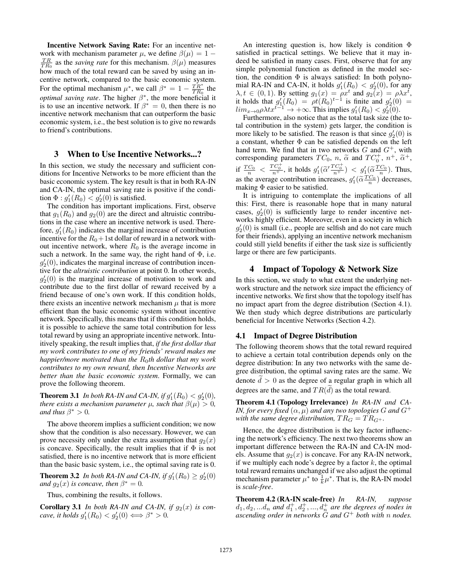Incentive Network Saving Rate: For an incentive network with mechanism parameter  $\mu$ , we define  $\beta(\mu) = 1$  –  $\frac{TR}{TR_0}$  as the *saving rate* for this mechanism.  $\beta(\mu)$  measures how much of the total reward can be saved by using an incentive network, compared to the basic economic system. For the optimal mechanism  $\mu^*$ , we call  $\beta^* = 1 - \frac{T R^*}{T R_0}$  the *optimal saving rate*. The higher  $\beta^*$ , the more beneficial it is to use an incentive network. If  $\beta^* = 0$ , then there is no incentive network mechanism that can outperform the basic economic system, i.e., the best solution is to give no rewards to friend's contributions.

## 3 When to Use Incentive Networks...?

In this section, we study the necessary and sufficient conditions for Incentive Networks to be more efficient than the basic economic system. The key result is that in both RA-IN and CA-IN, the optimal saving rate is positive if the condition  $\Phi: g'_1(R_0) < g'_2(0)$  is satisfied.

The condition has important implications. First, observe that  $g_1(R_0)$  and  $g_2(0)$  are the direct and altruistic contributions in the case where an incentive network is used. Therefore,  $g_1'(R_0)$  indicates the marginal increase of contribution incentive for the  $R_0+1$ st dollar of reward in a network without incentive network, where  $R_0$  is the average income in such a network. In the same way, the right hand of  $\Phi$ , i.e.  $g'_2(0)$ , indicates the marginal increase of contribution incentive for the *altruistic contribution* at point 0. In other words,  $g'_2(0)$  is the marginal increase of motivation to work and contribute due to the first dollar of reward received by a friend because of one's own work. If this condition holds, there exists an incentive network mechanism  $\mu$  that is more efficient than the basic economic system without incentive network. Specifically, this means that if this condition holds, it is possible to achieve the same total contribution for less total reward by using an appropriate incentive network. Intuitively speaking, the result implies that, *if the first dollar that my work contributes to one of my friends' reward makes me happier/more motivated than the*  $R_0$ *th dollar that my work contributes to my own reward, then Incentive Networks are better than the basic economic system*. Formally, we can prove the following theorem.

**Theorem 3.1** In both RA-IN and CA-IN, if  $g'_1(R_0) < g'_2(0)$ , *there exists a mechanism parameter*  $\mu$ *, such that*  $\beta(\mu) > 0$ *, and thus*  $\beta^* > 0$ *.* 

The above theorem implies a sufficient condition; we now show that the condition is also necessary. However, we can prove necessity only under the extra assumption that  $g_2(x)$ is concave. Specifically, the result implies that if  $\Phi$  is not satisfied, there is no incentive network that is more efficient than the basic basic system, i.e., the optimal saving rate is 0.

**Theorem 3.2** *In both RA-IN and CA-IN, if*  $g'_1(R_0) \ge g'_2(0)$ *and*  $g_2(x)$  *is concave, then*  $\beta^* = 0$ *.* 

Thus, combining the results, it follows.

**Corollary 3.1** In both RA-IN and CA-IN, if  $g_2(x)$  is con*cave, it holds*  $g'_1(R_0) < g'_2(0) \Longleftrightarrow \beta^* > 0$ *.* 

An interesting question is, how likely is condition  $\Phi$ satisfied in practical settings. We believe that it may indeed be satisfied in many cases. First, observe that for any simple polynomial function as defined in the model section, the condition  $\Phi$  is always satisfied: In both polynomial RA-IN and CA-IN, it holds  $g'_1(R_0) < g'_2(0)$ , for any  $\lambda, t \in (0,1)$ . By setting  $g_1(x) = \rho x^t$  and  $g_2(x) = \rho \lambda x^t$ , it holds that  $g'_1(R_0) = \rho t (R_0)^{t-1}$  is finite and  $g'_2(0) =$  $\lim_{x\to 0} \rho \lambda t x^{t-1} \to +\infty$ . This implies  $g'_1(R_0) < g'_2(0)$ .

Furthermore, also notice that as the total task size (the total contribution in the system) gets larger, the condition is more likely to be satisfied. The reason is that since  $g'_2(0)$  is a constant, whether Φ can be satisfied depends on the left hand term. We find that in two networks  $G$  and  $G^+$ , with corresponding parameters  $TC_0$ , n,  $\tilde{\alpha}$  and  $TC_0^+$ ,  $n^+$ ,  $\tilde{\alpha}^+$ , if  $\frac{TC_0}{n} < \frac{TC_0^+}{n^+}$ , it holds  $g'_1(\widetilde{\alpha}' \frac{TC_0^+}{n^+}) < g'_1(\widetilde{\alpha}' \frac{TC_0^-}{n})$ . Thus, as the average contribution increases,  $g'_1(\tilde{\alpha} \frac{T C_0}{n})$  decreases, making  $\Phi$  easier to be satisfied making Φ easier to be satisfied.

It is intriguing to contemplate the implications of all this: First, there is reasonable hope that in many natural cases,  $g'_2(0)$  is sufficiently large to render incentive networks highly efficient. Moreover, even in a society in which  $g'_2(0)$  is small (i.e., people are selfish and do not care much for their friends), applying an incentive network mechanism could still yield benefits if either the task size is sufficiently large or there are few participants.

## 4 Impact of Topology & Network Size

In this section, we study to what extent the underlying network structure and the network size impact the efficiency of incentive networks. We first show that the topology itself has no impact apart from the degree distribution (Section 4.1). We then study which degree distributions are particularly beneficial for Incentive Networks (Section 4.2).

#### 4.1 Impact of Degree Distribution

The following theorem shows that the total reward required to achieve a certain total contribution depends only on the degree distribution: In any two networks with the same degree distribution, the optimal saving rates are the same. We denote  $\tilde{d} > 0$  as the degree of a regular graph in which all degrees are the same, and  $TR(\tilde{d})$  as the total reward.

Theorem 4.1 (Topology Irrelevance) *In RA-IN and CA-IN, for every fixed*  $(\alpha, \mu)$  *and any two topologies* G *and*  $G^+$ *with the same degree distribution,*  $TR_G = TR_{G^+}$ .

Hence, the degree distribution is the key factor influencing the network's efficiency. The next two theorems show an important difference between the RA-IN and CA-IN models. Assume that  $g_2(x)$  is concave. For any RA-IN network, if we multiply each node's degree by a factor  $k$ , the optimal total reward remains unchanged if we also adjust the optimal mechanism parameter  $\mu^*$  to  $\frac{1}{k}\mu^*$ . That is, the RA-IN model is *scale-free*.

Theorem 4.2 (RA-IN scale-free) *In RA-IN, suppose*  $d_1, d_2, ... d_n$  and  $d_1^+, d_2^+, ..., d_n^+$  are the degrees of nodes in *ascending order in networks* G *and* G<sup>+</sup> *both with* n *nodes.*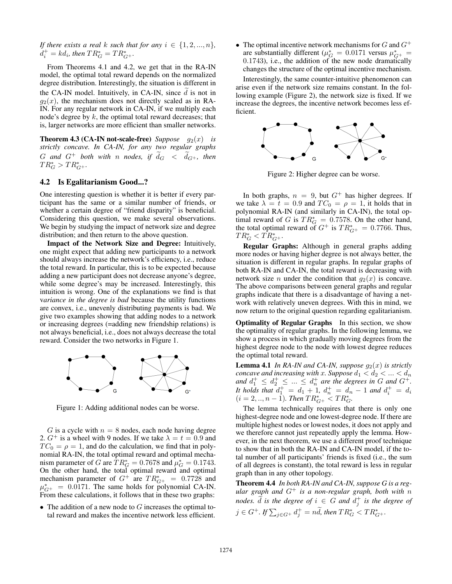*If there exists a real k such that for any*  $i \in \{1, 2, ..., n\}$ ,  $d_i^+ = k d_i$ , then  $TR_G^* = TR_{G^+}^*$ .

From Theorems 4.1 and 4.2, we get that in the RA-IN model, the optimal total reward depends on the normalized degree distribution. Interestingly, the situation is different in the CA-IN model. Intuitively, in CA-IN, since  $\overline{d}$  is not in  $g_2(x)$ , the mechanism does not directly scaled as in RA-IN. For any regular network in CA-IN, if we multiply each node's degree by  $k$ , the optimal total reward decreases; that is, larger networks are more efficient than smaller networks.

**Theorem 4.3 (CA-IN not-scale-free)** *Suppose*  $g_2(x)$  *is strictly concave. In CA-IN, for any two regular graphs* G and  $G^+$  both with n nodes, if  $\tilde{d}_G < \tilde{d}_{G^+}$ , then  $TR_G^* > TR_{G^+}^*$ .

## 4.2 Is Egalitarianism Good...?

One interesting question is whether it is better if every participant has the same or a similar number of friends, or whether a certain degree of "friend disparity" is beneficial. Considering this question, we make several observations. We begin by studying the impact of network size and degree distribution; and then return to the above question.

Impact of the Network Size and Degree: Intuitively, one might expect that adding new participants to a network should always increase the network's efficiency, i.e., reduce the total reward. In particular, this is to be expected because adding a new participant does not decrease anyone's degree, while some degree's may be increased. Interestingly, this intuition is wrong. One of the explanations we find is that v*ariance in the degree is bad* because the utility functions are convex, i.e., unevenly distributing payments is bad. We give two examples showing that adding nodes to a network or increasing degrees (=adding new friendship relations) is not always beneficial, i.e., does not always decrease the total reward. Consider the two networks in Figure 1.



Figure 1: Adding additional nodes can be worse.

G is a cycle with  $n = 8$  nodes, each node having degree 2.  $G^+$  is a wheel with 9 nodes. If we take  $\lambda = t = 0.9$  and  $TC_0 = \rho = 1$ , and do the calculation, we find that in polynomial RA-IN, the total optimal reward and optimal mechanism parameter of G are  $TR_G^* = 0.7678$  and  $\mu_G^* = 0.1743$ . On the other hand, the total optimal reward and optimal mechanism parameter of  $G^+$  are  $TR^*_{G^+}$  = 0.7728 and  $\mu_{G^+}^* = 0.0171$ . The same holds for polynomial CA-IN. From these calculations, it follows that in these two graphs:

• The addition of a new node to  $G$  increases the optimal total reward and makes the incentive network less efficient.

• The optimal incentive network mechanisms for  $G$  and  $G^+$ are substantially different ( $\mu_G^* = 0.0171$  versus  $\mu_{G^+}^* =$ 0.1743), i.e., the addition of the new node dramatically changes the structure of the optimal incentive mechanism.

Interestingly, the same counter-intuitive phenomenon can arise even if the network size remains constant. In the following example (Figure 2), the network size is fixed. If we increase the degrees, the incentive network becomes less efficient.



Figure 2: Higher degree can be worse.

In both graphs,  $n = 9$ , but  $G^+$  has higher degrees. If we take  $\lambda = t = 0.9$  and  $TC_0 = \rho = 1$ , it holds that in polynomial RA-IN (and similarly in CA-IN), the total optimal reward of G is  $TR_G^* = 0.7578$ . On the other hand, the total optimal reward of  $G^+$  is  $TR^*_{G^+} = 0.7766$ . Thus,  $TR^*_{G} < TR^*_{G^+}.$ 

Regular Graphs: Although in general graphs adding more nodes or having higher degree is not always better, the situation is different in regular graphs. In regular graphs of both RA-IN and CA-IN, the total reward is decreasing with network size *n* under the condition that  $q_2(x)$  is concave. The above comparisons between general graphs and regular graphs indicate that there is a disadvantage of having a network with relatively uneven degrees. With this in mind, we now return to the original question regarding egalitarianism.

**Optimality of Regular Graphs** In this section, we show the optimality of regular graphs. In the following lemma, we show a process in which gradually moving degrees from the highest degree node to the node with lowest degree reduces the optimal total reward.

**Lemma 4.1** *In RA-IN and CA-IN, suppose*  $g_2(x)$  *is strictly concave and increasing with* x. Suppose  $d_1 < d_2 < ... < d_n$ and  $d_1^+ \leq d_2^+ \leq ... \leq d_n^+$  are the degrees in G and  $G^+$ . *It holds that*  $d_1^+ = d_1 + 1$ ,  $d_n^+ = d_n - 1$  *and*  $d_i^+ = d_i$  $(i = 2, ..., n - 1)$ *. Then*  $TR_{G^+}^* < TR_G^*$ .

The lemma technically requires that there is only one highest-degree node and one lowest-degree node. If there are multiple highest nodes or lowest nodes, it does not apply and we therefore cannot just repeatedly apply the lemma. However, in the next theorem, we use a different proof technique to show that in both the RA-IN and CA-IN model, if the total number of all participants' friends is fixed (i.e., the sum of all degrees is constant), the total reward is less in regular graph than in any other topology.

Theorem 4.4 *In both RA-IN and CA-IN, suppose G is a regular graph and* G<sup>+</sup> *is a non-regular graph, both with* n *nodes.*  $\widetilde{d}$  *is the degree of*  $i \text{ }\in G$  *and*  $d_j^+$  *is the degree of*  $j \in G^+$ *.* If  $\sum_{j \in G^+} d_j^+ = n \widetilde{d}$ *, then*  $TR_G^* < TR_{G^+}^*$ *.*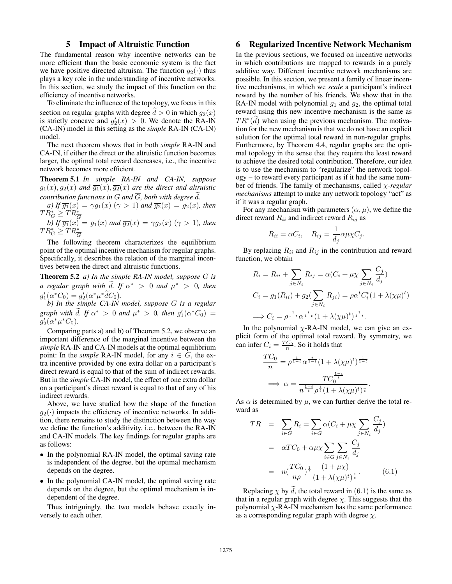# 5 Impact of Altruistic Function

The fundamental reason why incentive networks can be more efficient than the basic economic system is the fact we have positive directed altruism. The function  $g_2(\cdot)$  thus plays a key role in the understanding of incentive networks. In this section, we study the impact of this function on the efficiency of incentive networks.

To eliminate the influence of the topology, we focus in this section on regular graphs with degree  $d > 0$  in which  $g_2(x)$ is strictly concave and  $g'_2(x) > 0$ . We denote the RA-IN (CA-IN) model in this setting as the *simple* RA-IN (CA-IN) model.

The next theorem shows that in both *simple* RA-IN and CA-IN, if either the direct or the altruistic function becomes larger, the optimal total reward decreases, i.e., the incentive network becomes more efficient.

Theorem 5.1 *In simple RA-IN and CA-IN, suppose*  $g_1(x), g_2(x)$  *and*  $\overline{g_1}(x), \overline{g_2}(x)$  *are the direct and altruistic contribution functions in*  $G$  *and*  $\overline{G}$ *, both with degree d.* 

*a)* If  $\overline{g_1}(x) = \gamma g_1(x)$  ( $\gamma > 1$ ) and  $\overline{g_2}(x) = g_2(x)$ , then  $TR_G^* \geq TR_{\overline{G}}^*$ .

*b)* If  $\overline{g_1}(x) = g_1(x)$  and  $\overline{g_2}(x) = \gamma g_2(x)$  ( $\gamma > 1$ ), then  $TR_G^* \geq TR_{\overline{G}}^*$ .

The following theorem characterizes the equilibrium point of the optimal incentive mechanism for regular graphs. Specifically, it describes the relation of the marginal incentives between the direct and altruistic functions.

Theorem 5.2 *a) In the simple RA-IN model, suppose* G *is a regular graph with*  $\tilde{d}$ . If  $\alpha^* > 0$  *and*  $\mu^* > 0$ , *then*  $g'_1(\alpha^* C_0) = g'_2(\alpha^* \mu^* dC_0).$ 

*b) In the simple CA-IN model, suppose* G *is a regular graph with*  $\tilde{d}$ *. If*  $\alpha^* > 0$  *and*  $\mu^* > 0$ *, then*  $g'_1(\alpha^* C_0) =$  $g'_2(\alpha^*\mu^*C_0)$ .

Comparing parts a) and b) of Theorem 5.2, we observe an important difference of the marginal incentive between the *simple* RA-IN and CA-IN models at the optimal equilibrium point: In the *simple* RA-IN model, for any  $i \in G$ , the extra incentive provided by one extra dollar on a participant's direct reward is equal to that of the sum of indirect rewards. But in the *simple* CA-IN model, the effect of one extra dollar on a participant's direct reward is equal to that of any of his indirect rewards.

Above, we have studied how the shape of the function  $g_2(\cdot)$  impacts the efficiency of incentive networks. In addition, there remains to study the distinction between the way we define the function's additivity, i.e., between the RA-IN and CA-IN models. The key findings for regular graphs are as follows:

- In the polynomial RA-IN model, the optimal saving rate is independent of the degree, but the optimal mechanism depends on the degree.
- In the polynomial CA-IN model, the optimal saving rate depends on the degree, but the optimal mechanism is independent of the degree.

Thus intriguingly, the two models behave exactly inversely to each other.

# 6 Regularized Incentive Network Mechanism

In the previous sections, we focused on incentive networks in which contributions are mapped to rewards in a purely additive way. Different incentive network mechanisms are possible. In this section, we present a family of linear incentive mechanisms, in which we *scale* a participant's indirect reward by the number of his friends. We show that in the RA-IN model with polynomial  $g_1$  and  $g_2$ , the optimal total reward using this new incentive mechanism is the same as  $TR^*(\tilde{d})$  when using the previous mechanism. The motivation for the new mechanism is that we do not have an explicit solution for the optimal total reward in non-regular graphs. Furthermore, by Theorem 4.4, regular graphs are the optimal topology in the sense that they require the least reward to achieve the desired total contribution. Therefore, our idea is to use the mechanism to "regularize" the network topology – to reward every participant as if it had the same number of friends. The family of mechanisms, called χ*-regular mechanisms* attempt to make any network topology "act" as if it was a regular graph.

For any mechanism with parameters  $(\alpha, \mu)$ , we define the direct reward  $R_{ii}$  and indirect reward  $R_{ij}$  as

$$
R_{ii} = \alpha C_i, \quad R_{ij} = \frac{1}{d_j} \alpha \mu \chi C_j.
$$

By replacing  $R_{ii}$  and  $R_{ij}$  in the contribution and reward function, we obtain

$$
R_i = R_{ii} + \sum_{j \in N_i} R_{ij} = \alpha (C_i + \mu \chi \sum_{j \in N_i} \frac{C_j}{d_j})
$$
  
\n
$$
C_i = g_1(R_{ii}) + g_2(\sum_{j \in N_i} R_{ji}) = \rho \alpha^t C_i^t (1 + \lambda(\chi \mu)^t)
$$
  
\n
$$
\implies C_i = \rho^{\frac{1}{1-t}} \alpha^{\frac{t}{1-t}} (1 + \lambda(\chi \mu)^t)^{\frac{1}{1-t}}.
$$

In the polynomial  $\chi$ -RA-IN model, we can give an explicit form of the optimal total reward. By symmetry, we can infer  $C_i = \frac{TC_0}{n}$ . So it holds that

$$
\label{eq:2.1} \begin{split} \frac{T C_0}{n}&=\rho^{\frac{1}{1-t}}\alpha^{\frac{t}{1-t}}(1+\lambda(\chi\mu)^t)^{\frac{1}{1-t}}\\ \implies\alpha&=\frac{T C_0^{\frac{1-t}{t}}}{n^{\frac{1-t}{t}}\rho^{\frac{1}{t}}(1+\lambda(\chi\mu)^t)^{\frac{1}{t}}}.\end{split}
$$

As  $\alpha$  is determined by  $\mu$ , we can further derive the total reward as

 $\cap$ 

$$
TR = \sum_{i \in G} R_i = \sum_{i \in G} \alpha (C_i + \mu \chi \sum_{j \in N_i} \frac{C_j}{d_j})
$$
  

$$
= \alpha T C_0 + \alpha \mu \chi \sum_{i \in G} \sum_{j \in N_i} \frac{C_j}{d_j}
$$
  

$$
= n \left( \frac{T C_0}{n \rho} \right)^{\frac{1}{t}} \frac{\left( 1 + \mu \chi \right)}{\left( 1 + \lambda (\chi \mu)^t \right)^{\frac{1}{t}}}.
$$
(6.1)

Replacing  $\chi$  by  $\tilde{d}$ , the total reward in (6.1) is the same as that in a regular graph with degree  $\chi$ . This suggests that the polynomial  $\chi$ -RA-IN mechanism has the same performance as a corresponding regular graph with degree  $\chi$ .